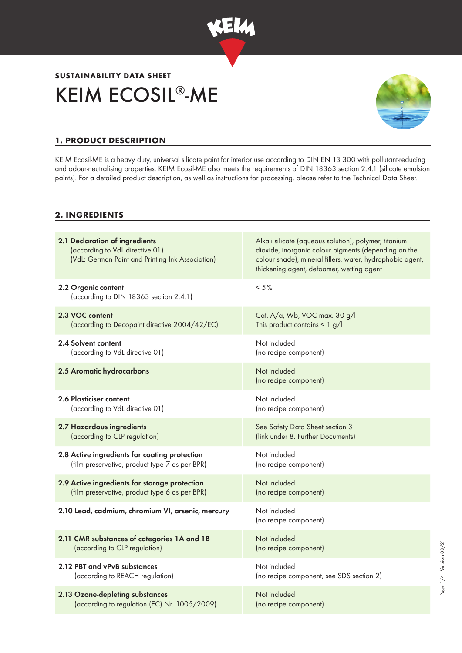

# KEIM ECOSIL®-ME **SUSTAINABILITY DATA SHEET**



Page 1/4 · Version 08/21 Page 1/4 ∙ Version 08/21

## **1. PRODUCT DESCRIPTION**

KEIM Ecosil-ME is a heavy duty, universal silicate paint for interior use according to DIN EN 13 300 with pollutant-reducing and odour-neutralising properties. KEIM Ecosil-ME also meets the requirements of DIN 18363 section 2.4.1 (silicate emulsion paints). For a detailed product description, as well as instructions for processing, please refer to the Technical Data Sheet.

### **2. INGREDIENTS**

| 2.1 Declaration of ingredients<br>(according to VdL directive 01)<br>(VdL: German Paint and Printing Ink Association) | Alkali silicate (aqueous solution), polymer, titanium<br>dioxide, inorganic colour pigments (depending on the<br>colour shade), mineral fillers, water, hydrophobic agent,<br>thickening agent, defoamer, wetting agent |
|-----------------------------------------------------------------------------------------------------------------------|-------------------------------------------------------------------------------------------------------------------------------------------------------------------------------------------------------------------------|
| 2.2 Organic content<br>(according to DIN 18363 section 2.4.1)                                                         | $< 5 \%$                                                                                                                                                                                                                |
| 2.3 VOC content                                                                                                       | Cat. A/a, Wb, VOC max. 30 g/l                                                                                                                                                                                           |
| (according to Decopaint directive 2004/42/EC)                                                                         | This product contains $\leq 1$ g/l                                                                                                                                                                                      |
| 2.4 Solvent content                                                                                                   | Not included                                                                                                                                                                                                            |
| (according to VdL directive 01)                                                                                       | (no recipe component)                                                                                                                                                                                                   |
| 2.5 Aromatic hydrocarbons                                                                                             | Not included<br>(no recipe component)                                                                                                                                                                                   |
| 2.6 Plasticiser content                                                                                               | Not included                                                                                                                                                                                                            |
| (according to VdL directive 01)                                                                                       | (no recipe component)                                                                                                                                                                                                   |
| 2.7 Hazardous ingredients                                                                                             | See Safety Data Sheet section 3                                                                                                                                                                                         |
| (according to CLP regulation)                                                                                         | (link under 8. Further Documents)                                                                                                                                                                                       |
| 2.8 Active ingredients for coating protection                                                                         | Not included                                                                                                                                                                                                            |
| (film preservative, product type 7 as per BPR)                                                                        | (no recipe component)                                                                                                                                                                                                   |
| 2.9 Active ingredients for storage protection                                                                         | Not included                                                                                                                                                                                                            |
| (film preservative, product type 6 as per BPR)                                                                        | (no recipe component)                                                                                                                                                                                                   |
| 2.10 Lead, cadmium, chromium VI, arsenic, mercury                                                                     | Not included<br>(no recipe component)                                                                                                                                                                                   |
| 2.11 CMR substances of categories 1A and 1B                                                                           | Not included                                                                                                                                                                                                            |
| (according to CLP regulation)                                                                                         | (no recipe component)                                                                                                                                                                                                   |
| 2.12 PBT and vPvB substances                                                                                          | Not included                                                                                                                                                                                                            |
| (according to REACH regulation)                                                                                       | (no recipe component, see SDS section 2)                                                                                                                                                                                |
| 2.13 Ozone-depleting substances                                                                                       | Not included                                                                                                                                                                                                            |
| (according to regulation (EC) Nr. 1005/2009)                                                                          | (no recipe component)                                                                                                                                                                                                   |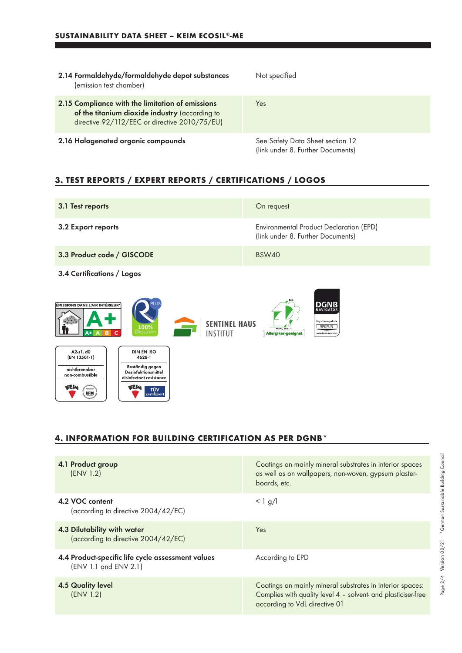| 2.14 Formaldehyde/formaldehyde depot substances<br>(emission test chamber)                                                                          | Not specified                                                         |
|-----------------------------------------------------------------------------------------------------------------------------------------------------|-----------------------------------------------------------------------|
| 2.15 Compliance with the limitation of emissions<br>of the titanium dioxide industry (according to<br>directive 92/112/EEC or directive 2010/75/EU) | Yes                                                                   |
| 2.16 Halogenated organic compounds                                                                                                                  | See Safety Data Sheet section 12<br>(link under 8. Further Documents) |

## **3. TEST REPORTS / EXPERT REPORTS / CERTIFICATIONS / LOGOS**

| 3.1 Test reports                                                                                                                                                                                                                                        | On request                                                                   |  |
|---------------------------------------------------------------------------------------------------------------------------------------------------------------------------------------------------------------------------------------------------------|------------------------------------------------------------------------------|--|
| 3.2 Export reports                                                                                                                                                                                                                                      | Environmental Product Declaration (EPD)<br>(link under 8. Further Documents) |  |
| 3.3 Product code / GISCODE                                                                                                                                                                                                                              | BSW40                                                                        |  |
| 3.4 Certifications / Logos                                                                                                                                                                                                                              |                                                                              |  |
| lug<br><b>DGNB</b><br>ÉMISSIONS DANS L'AIR INTÉRIEUR <sup>®</sup><br>NAVIGATOR<br>Registrierungs-Code<br><b>SENTINEL HAUS</b><br>9PKFUN<br>$100\%$<br>Prüf-Nr. 2452 - 13<br>Ökostrom<br><b>INSTITUT</b><br>Allergiker-geeignet<br>www.dgnb-navigator.dr |                                                                              |  |
| A2 s1, d0<br><b>DIN EN ISO</b><br>(EN 13501-1)<br>4628-1<br>Beständig gegen<br>nichtbrennbar<br><b>Desinfektionsmittel</b><br>non-combustible<br>disinfectant resistance<br><b>WEM</b><br>vaelm<br><b>TÜV</b><br><b>HFM</b><br>zertifiziert             |                                                                              |  |

## **4. INFORMATION FOR BUILDING CERTIFICATION AS PER DGNB\***

| 4.1 Product group<br>(ENV 1.2)                                             | Coatings on mainly mineral substrates in interior spaces<br>as well as on wallpapers, non-woven, gypsum plaster-<br>boards, etc.                            |
|----------------------------------------------------------------------------|-------------------------------------------------------------------------------------------------------------------------------------------------------------|
| 4.2 VOC content<br>(according to directive 2004/42/EC)                     | $< 1$ g/l                                                                                                                                                   |
| 4.3 Dilutability with water<br>(according to directive 2004/42/EC)         | Yes                                                                                                                                                         |
| 4.4 Product-specific life cycle assessment values<br>(ENV 1.1 and ENV 2.1) | According to EPD                                                                                                                                            |
| 4.5 Quality level<br>(ENV 1.2)                                             | Coatings on mainly mineral substrates in interior spaces:<br>Complies with quality level 4 - solvent- and plasticiser-free<br>according to VdL directive 01 |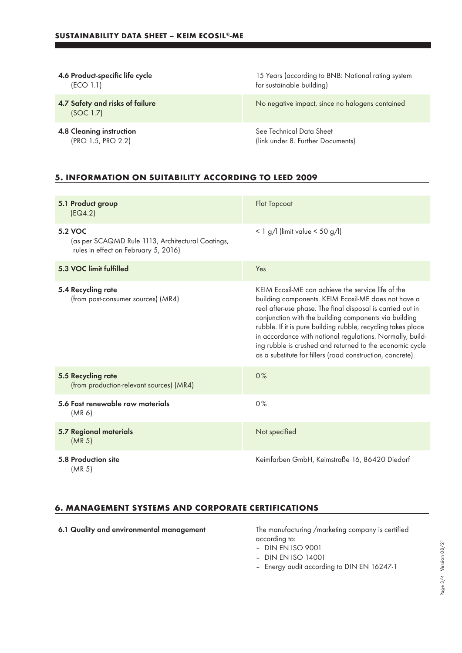| 4.6 Product-specific life cycle              | 15 Years (according to BNB: National rating system |
|----------------------------------------------|----------------------------------------------------|
| (ECO 1.1)                                    | for sustainable building)                          |
| 4.7 Safety and risks of failure<br>(SOC 1.7) | No negative impact, since no halogens contained    |
| <b>4.8 Cleaning instruction</b>              | See Technical Data Sheet                           |
| (PRO 1.5, PRO 2.2)                           | (link under 8. Further Documents)                  |

## **5. INFORMATION ON SUITABILITY ACCORDING TO LEED 2009**

| 5.1 Product group<br>EG4.2)                                                                          | <b>Flat Topcoat</b>                                                                                                                                                                                                                                                                                                                                                                                                                                                                     |
|------------------------------------------------------------------------------------------------------|-----------------------------------------------------------------------------------------------------------------------------------------------------------------------------------------------------------------------------------------------------------------------------------------------------------------------------------------------------------------------------------------------------------------------------------------------------------------------------------------|
| 5.2 VOC<br>(as per SCAQMD Rule 1113, Architectural Coatings,<br>rules in effect on February 5, 2016) | $<$ 1 g/l (limit value $<$ 50 g/l)                                                                                                                                                                                                                                                                                                                                                                                                                                                      |
| 5.3 VOC limit fulfilled                                                                              | Yes                                                                                                                                                                                                                                                                                                                                                                                                                                                                                     |
| 5.4 Recycling rate<br>(from post-consumer sources) (MR4)                                             | KEIM Ecosil-ME can achieve the service life of the<br>building components. KEIM Ecosil-ME does not have a<br>real after-use phase. The final disposal is carried out in<br>conjunction with the building components via building<br>rubble. If it is pure building rubble, recycling takes place<br>in accordance with national regulations. Normally, build-<br>ing rubble is crushed and returned to the economic cycle<br>as a substitute for fillers (road construction, concrete). |
| 5.5 Recycling rate<br>(from production-relevant sources) (MR4)                                       | 0%                                                                                                                                                                                                                                                                                                                                                                                                                                                                                      |
| 5.6 Fast renewable raw materials<br>(MR 6)                                                           | 0%                                                                                                                                                                                                                                                                                                                                                                                                                                                                                      |
| 5.7 Regional materials<br>(MR <sub>5</sub> )                                                         | Not specified                                                                                                                                                                                                                                                                                                                                                                                                                                                                           |
| 5.8 Production site<br>(MR <sub>5</sub> )                                                            | Keimfarben GmbH, Keimstraße 16, 86420 Diedorf                                                                                                                                                                                                                                                                                                                                                                                                                                           |

## **6. MANAGEMENT SYSTEMS AND CORPORATE CERTIFICATIONS**

6.1 Quality and environmental management The manufacturing /marketing company is certified according to:

- DIN EN ISO 9001
- DIN EN ISO 14001
- Energy audit according to DIN EN 16247-1